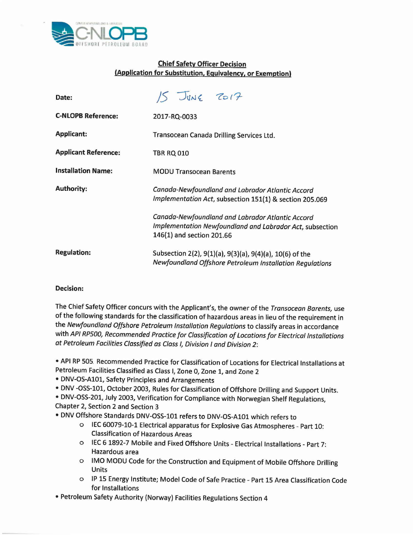

## Chief Safety Officer Decision (Application for Substitution, Equivalency, or Exemption)

| Date:                       | $15$ JUNE 2017                                                                                                                           |
|-----------------------------|------------------------------------------------------------------------------------------------------------------------------------------|
| <b>C-NLOPB Reference:</b>   | 2017-RQ-0033                                                                                                                             |
| <b>Applicant:</b>           | Transocean Canada Drilling Services Ltd.                                                                                                 |
| <b>Applicant Reference:</b> | <b>TBR RQ 010</b>                                                                                                                        |
| <b>Installation Name:</b>   | <b>MODU Transocean Barents</b>                                                                                                           |
| <b>Authority:</b>           | Canada-Newfoundland and Labrador Atlantic Accord<br>Implementation Act, subsection 151(1) & section 205.069                              |
|                             | Canada-Newfoundland and Labrador Atlantic Accord<br>Implementation Newfoundland and Labrador Act, subsectio<br>146(1) and section 201.66 |
| <b>Regulation:</b>          | Subsection 2(2), 9(1)(a), 9(3)(a), 9(4)(a), 10(6) of the<br>Newfoundland Offshore Petroleum Installation Regulations                     |

## Decision:

The Chief Safety Officer concurs with the Applicant's, the owner of the *Transocean Barents,* use of the following standards for the classification of hazardous areas in lieu of the requirement in the *Newfoundland Offshore Petroleum Installation Regulations* to classify areas in accordance with *API RP500, Recommended Practice for Classlfication of Locations for Electrical Installations at Petroleum Facilities Classified as Class I, Division I and Division 2:*

• API RP505. Recommended Practice for Classification of Locations for Electrical Installations at Petroleum Facilities Classified as Class I, Zone 0, Zone 1, and Zone 2

• DNV-OS-AI01, Safety Principles and Arrangements

• DNV -055-101, October 2003, Rules for Classification of Offshore Drilling and Support Units.

• DNV-OSS-201, July 2003, Verification for Compliance with Norwegian Shelf Regulations, Chapter 2, Section 2 and Section 3

• DNV Offshore Standards DNV-OSS-I0l refers to DNV-OS-AI0l which refers to

- o IEC60079-10-1 Electrical apparatus for Explosive Gas Atmospheres Part 10: Classification of Hazardous Areas
- o IEC 6 1892-7 Mobile and Fixed Offshore Units Electrical Installations Part 7: Hazardous area
- o IMO MODU Code for the Construction and Equipment of Mobile Offshore Drilling Units
- o IP 15 Energy Institute; Model Code of Safe Practice Part 15 Area Classification Code for Installations
- Petroleum Safety Authority (Norway) Facilities Regulations Section 4